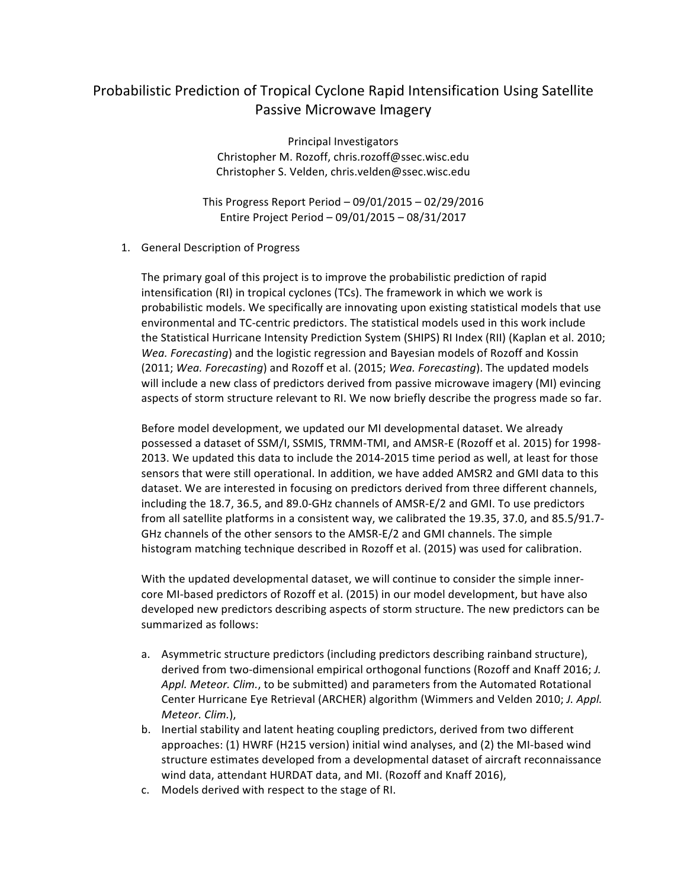## Probabilistic Prediction of Tropical Cyclone Rapid Intensification Using Satellite Passive Microwave Imagery

Principal Investigators Christopher M. Rozoff, chris.rozoff@ssec.wisc.edu Christopher S. Velden, chris.velden@ssec.wisc.edu

This Progress Report Period  $- 09/01/2015 - 02/29/2016$ Entire Project Period – 09/01/2015 – 08/31/2017

## 1. General Description of Progress

The primary goal of this project is to improve the probabilistic prediction of rapid intensification  $(RI)$  in tropical cyclones  $(TCs)$ . The framework in which we work is probabilistic models. We specifically are innovating upon existing statistical models that use environmental and TC-centric predictors. The statistical models used in this work include the Statistical Hurricane Intensity Prediction System (SHIPS) RI Index (RII) (Kaplan et al. 2010; *Wea. Forecasting*) and the logistic regression and Bayesian models of Rozoff and Kossin (2011; Wea. Forecasting) and Rozoff et al. (2015; Wea. Forecasting). The updated models will include a new class of predictors derived from passive microwave imagery (MI) evincing aspects of storm structure relevant to RI. We now briefly describe the progress made so far.

Before model development, we updated our MI developmental dataset. We already possessed a dataset of SSM/I, SSMIS, TRMM-TMI, and AMSR-E (Rozoff et al. 2015) for 1998-2013. We updated this data to include the 2014-2015 time period as well, at least for those sensors that were still operational. In addition, we have added AMSR2 and GMI data to this dataset. We are interested in focusing on predictors derived from three different channels, including the 18.7, 36.5, and 89.0-GHz channels of AMSR-E/2 and GMI. To use predictors from all satellite platforms in a consistent way, we calibrated the 19.35, 37.0, and 85.5/91.7-GHz channels of the other sensors to the AMSR-E/2 and GMI channels. The simple histogram matching technique described in Rozoff et al. (2015) was used for calibration.

With the updated developmental dataset, we will continue to consider the simple innercore MI-based predictors of Rozoff et al. (2015) in our model development, but have also developed new predictors describing aspects of storm structure. The new predictors can be summarized as follows:

- a. Asymmetric structure predictors (including predictors describing rainband structure), derived from two-dimensional empirical orthogonal functions (Rozoff and Knaff 2016; *J.* Appl. Meteor. Clim., to be submitted) and parameters from the Automated Rotational Center Hurricane Eye Retrieval (ARCHER) algorithm (Wimmers and Velden 2010; *J. Appl. Meteor. Clim.*),
- b. Inertial stability and latent heating coupling predictors, derived from two different approaches: (1) HWRF (H215 version) initial wind analyses, and (2) the MI-based wind structure estimates developed from a developmental dataset of aircraft reconnaissance wind data, attendant HURDAT data, and MI. (Rozoff and Knaff 2016),
- c. Models derived with respect to the stage of RI.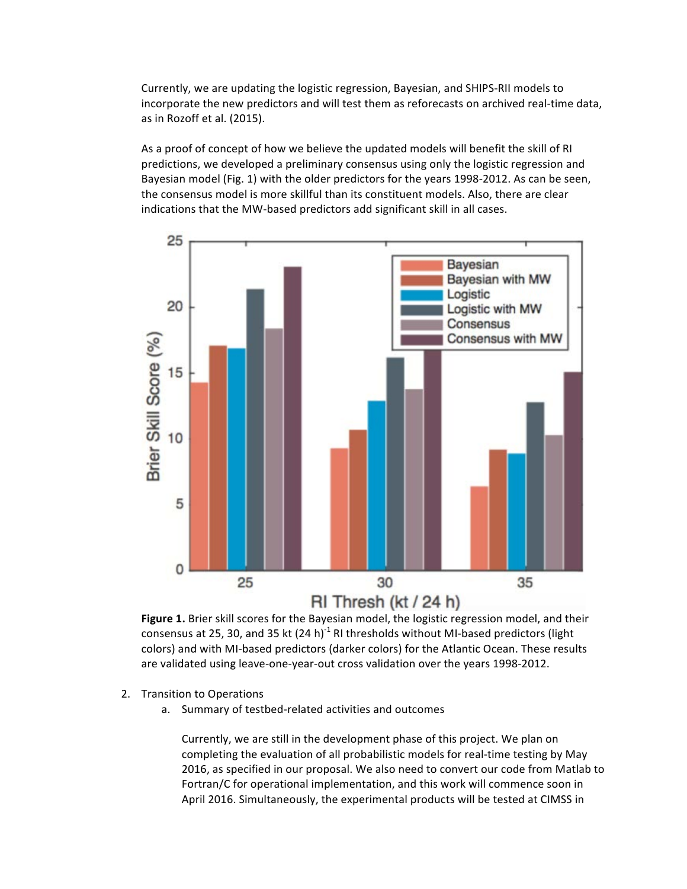Currently, we are updating the logistic regression, Bayesian, and SHIPS-RII models to incorporate the new predictors and will test them as reforecasts on archived real-time data, as in Rozoff et al. (2015).

As a proof of concept of how we believe the updated models will benefit the skill of RI predictions, we developed a preliminary consensus using only the logistic regression and Bayesian model (Fig. 1) with the older predictors for the years 1998-2012. As can be seen, the consensus model is more skillful than its constituent models. Also, there are clear indications that the MW-based predictors add significant skill in all cases.



Figure 1. Brier skill scores for the Bayesian model, the logistic regression model, and their consensus at 25, 30, and 35 kt  $(24 h)^{-1}$  RI thresholds without MI-based predictors (light colors) and with MI-based predictors (darker colors) for the Atlantic Ocean. These results are validated using leave-one-year-out cross validation over the years 1998-2012.

- 2. Transition to Operations
	- a. Summary of testbed-related activities and outcomes

Currently, we are still in the development phase of this project. We plan on completing the evaluation of all probabilistic models for real-time testing by May 2016, as specified in our proposal. We also need to convert our code from Matlab to Fortran/C for operational implementation, and this work will commence soon in April 2016. Simultaneously, the experimental products will be tested at CIMSS in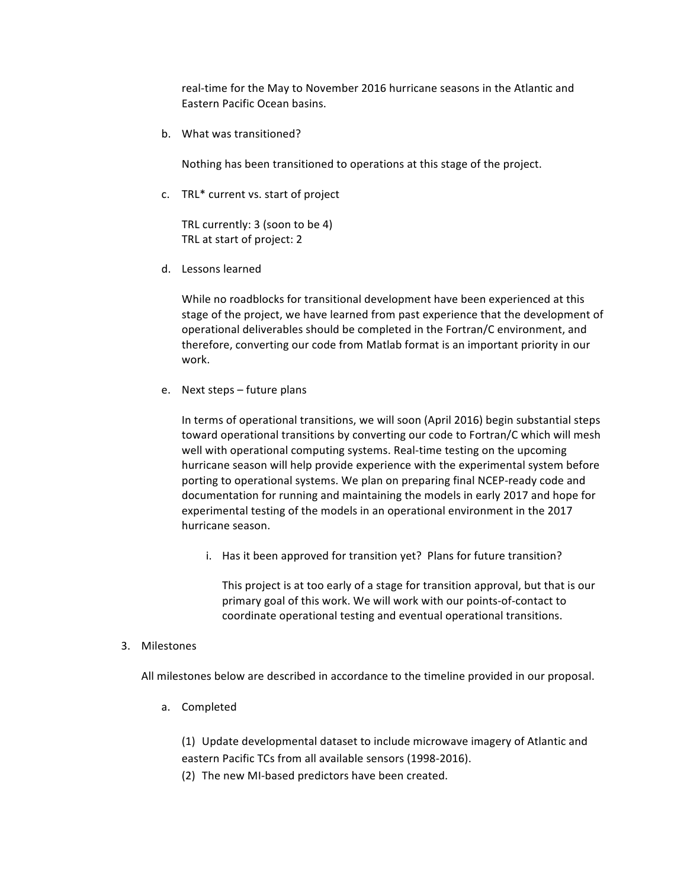real-time for the May to November 2016 hurricane seasons in the Atlantic and Eastern Pacific Ocean basins.

b. What was transitioned?

Nothing has been transitioned to operations at this stage of the project.

c. TRL\* current vs. start of project

TRL currently: 3 (soon to be 4) TRL at start of project: 2

d. Lessons learned

While no roadblocks for transitional development have been experienced at this stage of the project, we have learned from past experience that the development of operational deliverables should be completed in the Fortran/C environment, and therefore, converting our code from Matlab format is an important priority in our work.

e. Next steps  $-$  future plans

In terms of operational transitions, we will soon (April 2016) begin substantial steps toward operational transitions by converting our code to Fortran/C which will mesh well with operational computing systems. Real-time testing on the upcoming hurricane season will help provide experience with the experimental system before porting to operational systems. We plan on preparing final NCEP-ready code and documentation for running and maintaining the models in early 2017 and hope for experimental testing of the models in an operational environment in the 2017 hurricane season.

i. Has it been approved for transition yet? Plans for future transition?

This project is at too early of a stage for transition approval, but that is our primary goal of this work. We will work with our points-of-contact to coordinate operational testing and eventual operational transitions.

3. Milestones

All milestones below are described in accordance to the timeline provided in our proposal.

a. Completed

(1) Update developmental dataset to include microwave imagery of Atlantic and eastern Pacific TCs from all available sensors (1998-2016).

(2) The new MI-based predictors have been created.